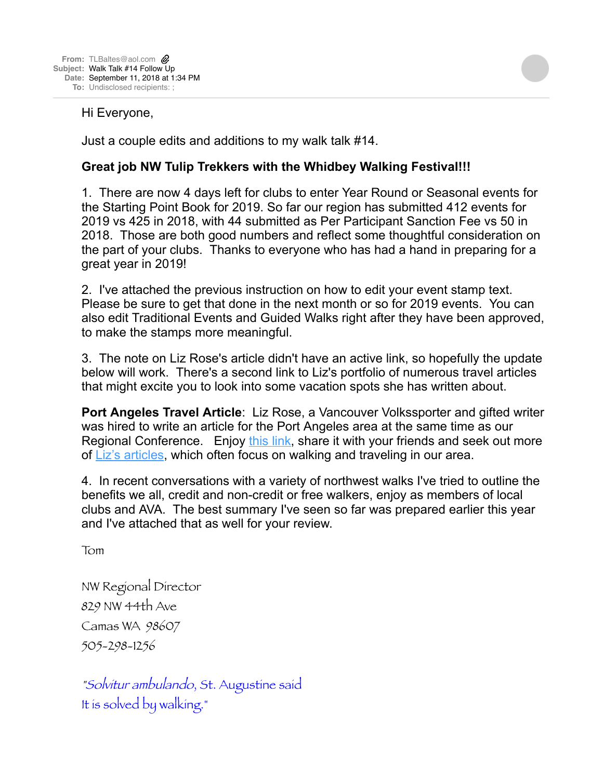## Hi Everyone,

Just a couple edits and additions to my walk talk #14.

## **Great job NW Tulip Trekkers with the Whidbey Walking Festival!!!**

1. There are now 4 days left for clubs to enter Year Round or Seasonal events for the Starting Point Book for 2019. So far our region has submitted 412 events for 2019 vs 425 in 2018, with 44 submitted as Per Participant Sanction Fee vs 50 in 2018. Those are both good numbers and reflect some thoughtful consideration on the part of your clubs. Thanks to everyone who has had a hand in preparing for a great year in 2019!

2. I've attached the previous instruction on how to edit your event stamp text. Please be sure to get that done in the next month or so for 2019 events. You can also edit Traditional Events and Guided Walks right after they have been approved, to make the stamps more meaningful.

3. The note on Liz Rose's article didn't have an active link, so hopefully the update below will work. There's a second link to Liz's portfolio of numerous travel articles that might excite you to look into some vacation spots she has written about.

**Port Angeles Travel Article**: Liz Rose, a Vancouver Volkssporter and gifted writer was hired to write an article for the Port Angeles area at the same time as our Regional Conference. Enjoy [this link,](https://www.wanderwithwonder.com/2018/08/14/wandering-port-angeles-on-washingtons-olympic-peninsula/) share it with your friends and seek out more of [Liz's articles](https://www.wanderwithwonder.com/author/southwestliz/), which often focus on walking and traveling in our area.

4. In recent conversations with a variety of northwest walks I've tried to outline the benefits we all, credit and non-credit or free walkers, enjoy as members of local clubs and AVA. The best summary I've seen so far was prepared earlier this year and I've attached that as well for your review.

Tom

NW Regional Director 829 NW 44th Ave Camas WA 98607 505-298-1256

"Solvitur ambulando, St. Augustine said It is solved by walking."